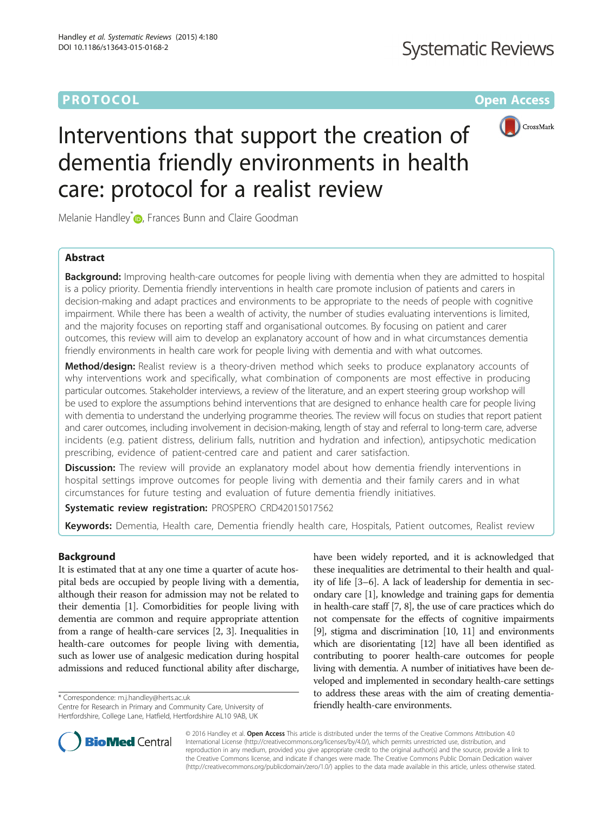## **PROTOCOL CONSUMING THE OPEN ACCESS**



# Interventions that support the creation of dementia friendly environments in health care: protocol for a realist review

Melanie Handley<sup>\*</sup> <sub>(b</sub>[,](http://orcid.org/0000-0002-8037-5042) Frances Bunn and Claire Goodman

## Abstract

**Background:** Improving health-care outcomes for people living with dementia when they are admitted to hospital is a policy priority. Dementia friendly interventions in health care promote inclusion of patients and carers in decision-making and adapt practices and environments to be appropriate to the needs of people with cognitive impairment. While there has been a wealth of activity, the number of studies evaluating interventions is limited, and the majority focuses on reporting staff and organisational outcomes. By focusing on patient and carer outcomes, this review will aim to develop an explanatory account of how and in what circumstances dementia friendly environments in health care work for people living with dementia and with what outcomes.

Method/design: Realist review is a theory-driven method which seeks to produce explanatory accounts of why interventions work and specifically, what combination of components are most effective in producing particular outcomes. Stakeholder interviews, a review of the literature, and an expert steering group workshop will be used to explore the assumptions behind interventions that are designed to enhance health care for people living with dementia to understand the underlying programme theories. The review will focus on studies that report patient and carer outcomes, including involvement in decision-making, length of stay and referral to long-term care, adverse incidents (e.g. patient distress, delirium falls, nutrition and hydration and infection), antipsychotic medication prescribing, evidence of patient-centred care and patient and carer satisfaction.

**Discussion:** The review will provide an explanatory model about how dementia friendly interventions in hospital settings improve outcomes for people living with dementia and their family carers and in what circumstances for future testing and evaluation of future dementia friendly initiatives.

Systematic review registration: PROSPERO [CRD42015017562](http://www.crd.york.ac.uk/PROSPERO/display_record.asp?ID=CRD42015017562)

Keywords: Dementia, Health care, Dementia friendly health care, Hospitals, Patient outcomes, Realist review

## Background

It is estimated that at any one time a quarter of acute hospital beds are occupied by people living with a dementia, although their reason for admission may not be related to their dementia [\[1](#page-6-0)]. Comorbidities for people living with dementia are common and require appropriate attention from a range of health-care services [[2, 3\]](#page-6-0). Inequalities in health-care outcomes for people living with dementia, such as lower use of analgesic medication during hospital admissions and reduced functional ability after discharge,

\* Correspondence: [m.j.handley@herts.ac.uk](mailto:m.j.handley@herts.ac.uk)

Centre for Research in Primary and Community Care, University of Hertfordshire, College Lane, Hatfield, Hertfordshire AL10 9AB, UK



**BioMed Central** 

© 2016 Handley et al. Open Access This article is distributed under the terms of the Creative Commons Attribution 4.0 International License [\(http://creativecommons.org/licenses/by/4.0/](http://creativecommons.org/licenses/by/4.0/)), which permits unrestricted use, distribution, and reproduction in any medium, provided you give appropriate credit to the original author(s) and the source, provide a link to the Creative Commons license, and indicate if changes were made. The Creative Commons Public Domain Dedication waiver [\(http://creativecommons.org/publicdomain/zero/1.0/](http://creativecommons.org/publicdomain/zero/1.0/)) applies to the data made available in this article, unless otherwise stated.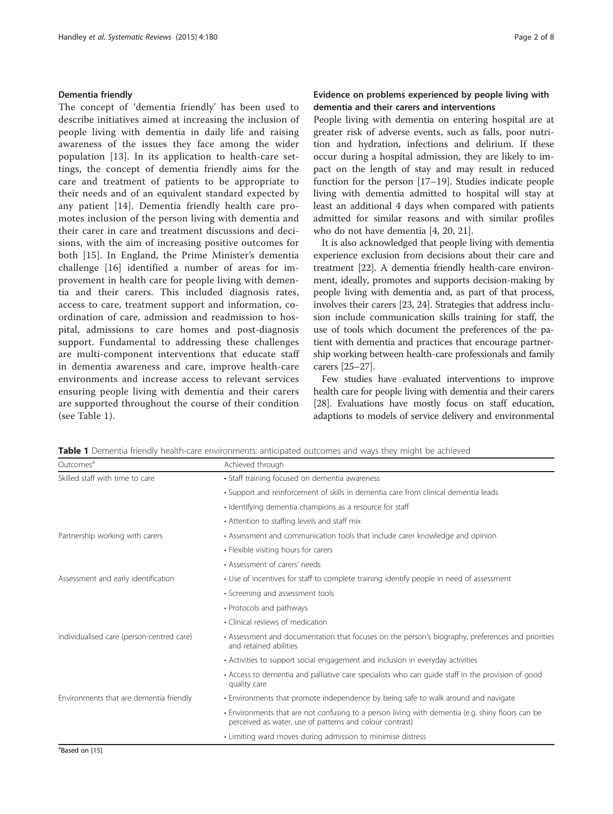#### Dementia friendly

The concept of 'dementia friendly' has been used to describe initiatives aimed at increasing the inclusion of people living with dementia in daily life and raising awareness of the issues they face among the wider population [\[13](#page-6-0)]. In its application to health-care settings, the concept of dementia friendly aims for the care and treatment of patients to be appropriate to their needs and of an equivalent standard expected by any patient [\[14](#page-6-0)]. Dementia friendly health care promotes inclusion of the person living with dementia and their carer in care and treatment discussions and decisions, with the aim of increasing positive outcomes for both [[15\]](#page-6-0). In England, the Prime Minister's dementia challenge [[16\]](#page-6-0) identified a number of areas for improvement in health care for people living with dementia and their carers. This included diagnosis rates, access to care, treatment support and information, coordination of care, admission and readmission to hospital, admissions to care homes and post-diagnosis support. Fundamental to addressing these challenges are multi-component interventions that educate staff in dementia awareness and care, improve health-care environments and increase access to relevant services ensuring people living with dementia and their carers are supported throughout the course of their condition (see Table 1).

## Evidence on problems experienced by people living with dementia and their carers and interventions

People living with dementia on entering hospital are at greater risk of adverse events, such as falls, poor nutrition and hydration, infections and delirium. If these occur during a hospital admission, they are likely to impact on the length of stay and may result in reduced function for the person [[17](#page-6-0)–[19](#page-6-0)]. Studies indicate people living with dementia admitted to hospital will stay at least an additional 4 days when compared with patients admitted for similar reasons and with similar profiles who do not have dementia [\[4](#page-6-0), [20, 21\]](#page-6-0).

It is also acknowledged that people living with dementia experience exclusion from decisions about their care and treatment [\[22\]](#page-6-0). A dementia friendly health-care environment, ideally, promotes and supports decision-making by people living with dementia and, as part of that process, involves their carers [[23](#page-6-0), [24\]](#page-6-0). Strategies that address inclusion include communication skills training for staff, the use of tools which document the preferences of the patient with dementia and practices that encourage partnership working between health-care professionals and family carers [\[25](#page-6-0)–[27](#page-6-0)].

Few studies have evaluated interventions to improve health care for people living with dementia and their carers [[28](#page-6-0)]. Evaluations have mostly focus on staff education, adaptions to models of service delivery and environmental

| Outcomes <sup>a</sup>                     | Achieved through                                                                                                                                             |  |  |  |
|-------------------------------------------|--------------------------------------------------------------------------------------------------------------------------------------------------------------|--|--|--|
| Skilled staff with time to care           | • Staff training focused on dementia awareness                                                                                                               |  |  |  |
|                                           | · Support and reinforcement of skills in dementia care from clinical dementia leads                                                                          |  |  |  |
|                                           | · Identifying dementia champions as a resource for staff                                                                                                     |  |  |  |
|                                           | • Attention to staffing levels and staff mix                                                                                                                 |  |  |  |
| Partnership working with carers           | • Assessment and communication tools that include carer knowledge and opinion                                                                                |  |  |  |
|                                           | • Flexible visiting hours for carers                                                                                                                         |  |  |  |
|                                           | • Assessment of carers' needs                                                                                                                                |  |  |  |
| Assessment and early identification       | • Use of incentives for staff to complete training identify people in need of assessment                                                                     |  |  |  |
|                                           | • Screening and assessment tools                                                                                                                             |  |  |  |
|                                           | • Protocols and pathways                                                                                                                                     |  |  |  |
|                                           | • Clinical reviews of medication                                                                                                                             |  |  |  |
| Individualised care (person-centred care) | • Assessment and documentation that focuses on the person's biography, preferences and priorities<br>and retained abilities                                  |  |  |  |
|                                           | • Activities to support social engagement and inclusion in everyday activities                                                                               |  |  |  |
|                                           | • Access to dementia and palliative care specialists who can quide staff in the provision of good<br>quality care                                            |  |  |  |
| Environments that are dementia friendly   | • Environments that promote independence by being safe to walk around and navigate                                                                           |  |  |  |
|                                           | • Environments that are not confusing to a person living with dementia (e.g. shiny floors can be<br>perceived as water, use of patterns and colour contrast) |  |  |  |
|                                           | • Limiting ward moves during admission to minimise distress                                                                                                  |  |  |  |

**Table 1** Dementia friendly health-care environments: anticipated outcomes and ways they might be achieved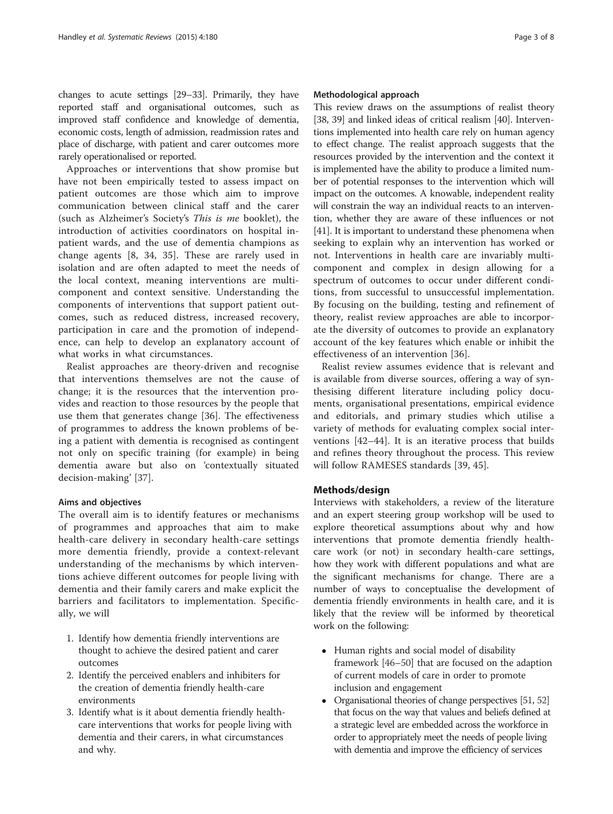changes to acute settings [\[29](#page-6-0)–[33](#page-7-0)]. Primarily, they have reported staff and organisational outcomes, such as improved staff confidence and knowledge of dementia, economic costs, length of admission, readmission rates and place of discharge, with patient and carer outcomes more rarely operationalised or reported.

Approaches or interventions that show promise but have not been empirically tested to assess impact on patient outcomes are those which aim to improve communication between clinical staff and the carer (such as Alzheimer's Society's This is me booklet), the introduction of activities coordinators on hospital inpatient wards, and the use of dementia champions as change agents [\[8](#page-6-0), [34](#page-7-0), [35](#page-7-0)]. These are rarely used in isolation and are often adapted to meet the needs of the local context, meaning interventions are multicomponent and context sensitive. Understanding the components of interventions that support patient outcomes, such as reduced distress, increased recovery, participation in care and the promotion of independence, can help to develop an explanatory account of what works in what circumstances.

Realist approaches are theory-driven and recognise that interventions themselves are not the cause of change; it is the resources that the intervention provides and reaction to those resources by the people that use them that generates change [[36\]](#page-7-0). The effectiveness of programmes to address the known problems of being a patient with dementia is recognised as contingent not only on specific training (for example) in being dementia aware but also on 'contextually situated decision-making' [[37\]](#page-7-0).

#### Aims and objectives

The overall aim is to identify features or mechanisms of programmes and approaches that aim to make health-care delivery in secondary health-care settings more dementia friendly, provide a context-relevant understanding of the mechanisms by which interventions achieve different outcomes for people living with dementia and their family carers and make explicit the barriers and facilitators to implementation. Specifically, we will

- 1. Identify how dementia friendly interventions are thought to achieve the desired patient and carer outcomes
- 2. Identify the perceived enablers and inhibiters for the creation of dementia friendly health-care environments
- 3. Identify what is it about dementia friendly healthcare interventions that works for people living with dementia and their carers, in what circumstances and why.

#### Methodological approach

This review draws on the assumptions of realist theory [[38](#page-7-0), [39](#page-7-0)] and linked ideas of critical realism [\[40\]](#page-7-0). Interventions implemented into health care rely on human agency to effect change. The realist approach suggests that the resources provided by the intervention and the context it is implemented have the ability to produce a limited number of potential responses to the intervention which will impact on the outcomes. A knowable, independent reality will constrain the way an individual reacts to an intervention, whether they are aware of these influences or not [[41](#page-7-0)]. It is important to understand these phenomena when seeking to explain why an intervention has worked or not. Interventions in health care are invariably multicomponent and complex in design allowing for a spectrum of outcomes to occur under different conditions, from successful to unsuccessful implementation. By focusing on the building, testing and refinement of theory, realist review approaches are able to incorporate the diversity of outcomes to provide an explanatory account of the key features which enable or inhibit the effectiveness of an intervention [\[36](#page-7-0)].

Realist review assumes evidence that is relevant and is available from diverse sources, offering a way of synthesising different literature including policy documents, organisational presentations, empirical evidence and editorials, and primary studies which utilise a variety of methods for evaluating complex social interventions [\[42](#page-7-0)–[44](#page-7-0)]. It is an iterative process that builds and refines theory throughout the process. This review will follow RAMESES standards [[39, 45\]](#page-7-0).

#### Methods/design

Interviews with stakeholders, a review of the literature and an expert steering group workshop will be used to explore theoretical assumptions about why and how interventions that promote dementia friendly healthcare work (or not) in secondary health-care settings, how they work with different populations and what are the significant mechanisms for change. There are a number of ways to conceptualise the development of dementia friendly environments in health care, and it is likely that the review will be informed by theoretical work on the following:

- Human rights and social model of disability framework [\[46](#page-7-0)–[50](#page-7-0)] that are focused on the adaption of current models of care in order to promote inclusion and engagement
- Organisational theories of change perspectives [\[51](#page-7-0), [52](#page-7-0)] that focus on the way that values and beliefs defined at a strategic level are embedded across the workforce in order to appropriately meet the needs of people living with dementia and improve the efficiency of services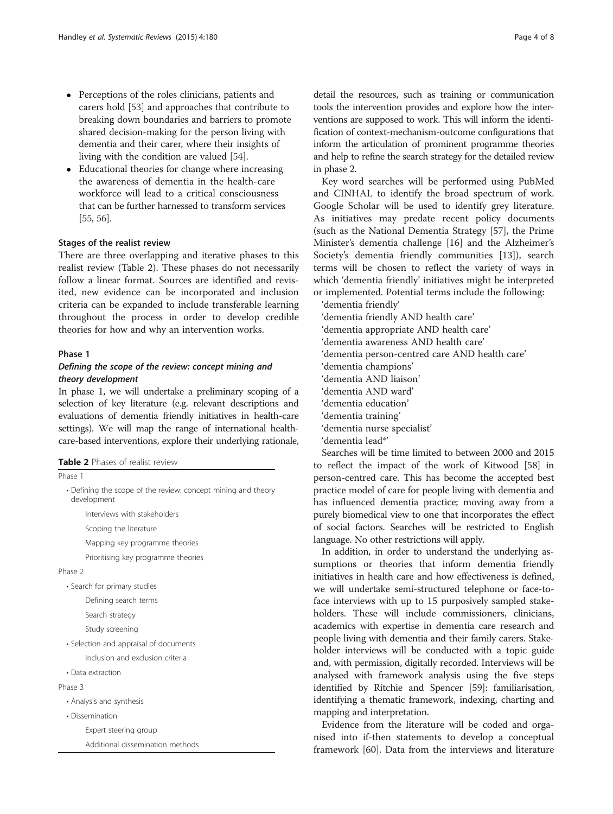- Perceptions of the roles clinicians, patients and carers hold [[53](#page-7-0)] and approaches that contribute to breaking down boundaries and barriers to promote shared decision-making for the person living with dementia and their carer, where their insights of living with the condition are valued [[54](#page-7-0)].
- Educational theories for change where increasing the awareness of dementia in the health-care workforce will lead to a critical consciousness that can be further harnessed to transform services [[55](#page-7-0), [56](#page-7-0)].

#### Stages of the realist review

There are three overlapping and iterative phases to this realist review (Table 2). These phases do not necessarily follow a linear format. Sources are identified and revisited, new evidence can be incorporated and inclusion criteria can be expanded to include transferable learning throughout the process in order to develop credible theories for how and why an intervention works.

#### Phase 1

#### Defining the scope of the review: concept mining and theory development

In phase 1, we will undertake a preliminary scoping of a selection of key literature (e.g. relevant descriptions and evaluations of dementia friendly initiatives in health-care settings). We will map the range of international healthcare-based interventions, explore their underlying rationale,

| <b>Table 2</b> Phases of realist review |  |  |  |  |  |
|-----------------------------------------|--|--|--|--|--|
|-----------------------------------------|--|--|--|--|--|

• Defining the scope of the review: concept mining and theory development

Interviews with stakeholders

Scoping the literature

Mapping key programme theories

Prioritising key programme theories

Phase 2

Phase 1

• Search for primary studies

Defining search terms

Search strategy

Study screening

• Selection and appraisal of documents

Inclusion and exclusion criteria

• Data extraction

Phase 3

• Analysis and synthesis

• Dissemination

Expert steering group

Additional dissemination methods

detail the resources, such as training or communication tools the intervention provides and explore how the interventions are supposed to work. This will inform the identification of context-mechanism-outcome configurations that inform the articulation of prominent programme theories and help to refine the search strategy for the detailed review in phase 2.

Key word searches will be performed using PubMed and CINHAL to identify the broad spectrum of work. Google Scholar will be used to identify grey literature. As initiatives may predate recent policy documents (such as the National Dementia Strategy [\[57](#page-7-0)], the Prime Minister's dementia challenge [[16\]](#page-6-0) and the Alzheimer's Society's dementia friendly communities [\[13](#page-6-0)]), search terms will be chosen to reflect the variety of ways in which 'dementia friendly' initiatives might be interpreted or implemented. Potential terms include the following:

'dementia friendly' 'dementia friendly AND health care' 'dementia appropriate AND health care' 'dementia awareness AND health care' 'dementia person-centred care AND health care' 'dementia champions' 'dementia AND liaison' 'dementia AND ward' 'dementia education' 'dementia training' 'dementia nurse specialist' 'dementia lead\*'

Searches will be time limited to between 2000 and 2015 to reflect the impact of the work of Kitwood [[58](#page-7-0)] in person-centred care. This has become the accepted best practice model of care for people living with dementia and has influenced dementia practice; moving away from a purely biomedical view to one that incorporates the effect of social factors. Searches will be restricted to English language. No other restrictions will apply.

In addition, in order to understand the underlying assumptions or theories that inform dementia friendly initiatives in health care and how effectiveness is defined, we will undertake semi-structured telephone or face-toface interviews with up to 15 purposively sampled stakeholders. These will include commissioners, clinicians, academics with expertise in dementia care research and people living with dementia and their family carers. Stakeholder interviews will be conducted with a topic guide and, with permission, digitally recorded. Interviews will be analysed with framework analysis using the five steps identified by Ritchie and Spencer [[59\]](#page-7-0): familiarisation, identifying a thematic framework, indexing, charting and mapping and interpretation.

Evidence from the literature will be coded and organised into if-then statements to develop a conceptual framework [[60](#page-7-0)]. Data from the interviews and literature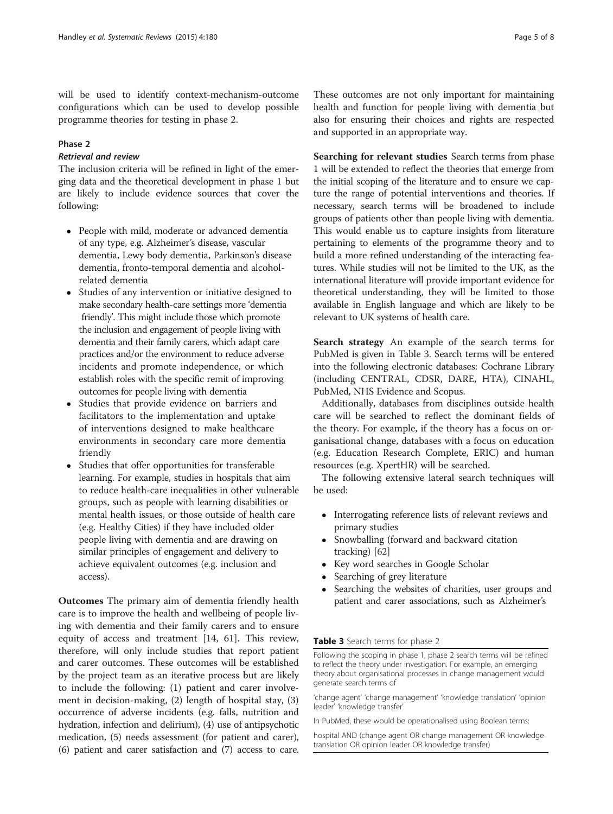will be used to identify context-mechanism-outcome configurations which can be used to develop possible programme theories for testing in phase 2.

#### Phase 2

## Retrieval and review

The inclusion criteria will be refined in light of the emerging data and the theoretical development in phase 1 but are likely to include evidence sources that cover the following:

- People with mild, moderate or advanced dementia of any type, e.g. Alzheimer's disease, vascular dementia, Lewy body dementia, Parkinson's disease dementia, fronto-temporal dementia and alcoholrelated dementia
- Studies of any intervention or initiative designed to make secondary health-care settings more 'dementia friendly'. This might include those which promote the inclusion and engagement of people living with dementia and their family carers, which adapt care practices and/or the environment to reduce adverse incidents and promote independence, or which establish roles with the specific remit of improving outcomes for people living with dementia
- Studies that provide evidence on barriers and facilitators to the implementation and uptake of interventions designed to make healthcare environments in secondary care more dementia friendly
- Studies that offer opportunities for transferable learning. For example, studies in hospitals that aim to reduce health-care inequalities in other vulnerable groups, such as people with learning disabilities or mental health issues, or those outside of health care (e.g. Healthy Cities) if they have included older people living with dementia and are drawing on similar principles of engagement and delivery to achieve equivalent outcomes (e.g. inclusion and access).

Outcomes The primary aim of dementia friendly health care is to improve the health and wellbeing of people living with dementia and their family carers and to ensure equity of access and treatment [\[14](#page-6-0), [61\]](#page-7-0). This review, therefore, will only include studies that report patient and carer outcomes. These outcomes will be established by the project team as an iterative process but are likely to include the following: (1) patient and carer involvement in decision-making, (2) length of hospital stay, (3) occurrence of adverse incidents (e.g. falls, nutrition and hydration, infection and delirium), (4) use of antipsychotic medication, (5) needs assessment (for patient and carer), (6) patient and carer satisfaction and (7) access to care.

These outcomes are not only important for maintaining health and function for people living with dementia but also for ensuring their choices and rights are respected and supported in an appropriate way.

Searching for relevant studies Search terms from phase 1 will be extended to reflect the theories that emerge from the initial scoping of the literature and to ensure we capture the range of potential interventions and theories. If necessary, search terms will be broadened to include groups of patients other than people living with dementia. This would enable us to capture insights from literature pertaining to elements of the programme theory and to build a more refined understanding of the interacting features. While studies will not be limited to the UK, as the international literature will provide important evidence for theoretical understanding, they will be limited to those available in English language and which are likely to be relevant to UK systems of health care.

Search strategy An example of the search terms for PubMed is given in Table 3. Search terms will be entered into the following electronic databases: Cochrane Library (including CENTRAL, CDSR, DARE, HTA), CINAHL, PubMed, NHS Evidence and Scopus.

Additionally, databases from disciplines outside health care will be searched to reflect the dominant fields of the theory. For example, if the theory has a focus on organisational change, databases with a focus on education (e.g. Education Research Complete, ERIC) and human resources (e.g. XpertHR) will be searched.

The following extensive lateral search techniques will be used:

- Interrogating reference lists of relevant reviews and primary studies
- Snowballing (forward and backward citation tracking) [[62](#page-7-0)]
- Key word searches in Google Scholar
- Searching of grey literature
- Searching the websites of charities, user groups and patient and carer associations, such as Alzheimer's

#### Table 3 Search terms for phase 2

Following the scoping in phase 1, phase 2 search terms will be refined to reflect the theory under investigation. For example, an emerging theory about organisational processes in change management would generate search terms of

'change agent' 'change management' 'knowledge translation' 'opinion leader' 'knowledge transfer'

In PubMed, these would be operationalised using Boolean terms:

hospital AND (change agent OR change management OR knowledge translation OR opinion leader OR knowledge transfer)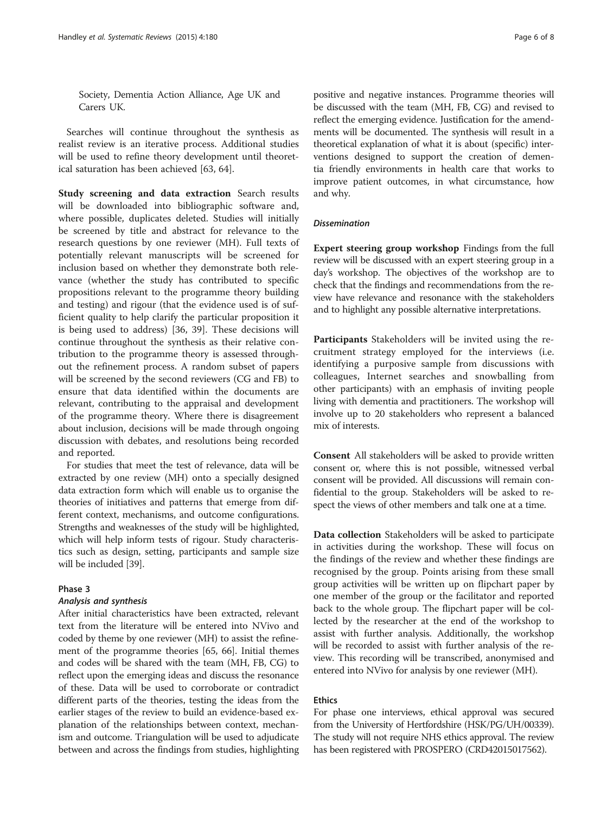Society, Dementia Action Alliance, Age UK and Carers UK.

Searches will continue throughout the synthesis as realist review is an iterative process. Additional studies will be used to refine theory development until theoretical saturation has been achieved [[63](#page-7-0), [64](#page-7-0)].

Study screening and data extraction Search results will be downloaded into bibliographic software and, where possible, duplicates deleted. Studies will initially be screened by title and abstract for relevance to the research questions by one reviewer (MH). Full texts of potentially relevant manuscripts will be screened for inclusion based on whether they demonstrate both relevance (whether the study has contributed to specific propositions relevant to the programme theory building and testing) and rigour (that the evidence used is of sufficient quality to help clarify the particular proposition it is being used to address) [\[36](#page-7-0), [39](#page-7-0)]. These decisions will continue throughout the synthesis as their relative contribution to the programme theory is assessed throughout the refinement process. A random subset of papers will be screened by the second reviewers (CG and FB) to ensure that data identified within the documents are relevant, contributing to the appraisal and development of the programme theory. Where there is disagreement about inclusion, decisions will be made through ongoing discussion with debates, and resolutions being recorded and reported.

For studies that meet the test of relevance, data will be extracted by one review (MH) onto a specially designed data extraction form which will enable us to organise the theories of initiatives and patterns that emerge from different context, mechanisms, and outcome configurations. Strengths and weaknesses of the study will be highlighted, which will help inform tests of rigour. Study characteristics such as design, setting, participants and sample size will be included [[39](#page-7-0)].

#### Phase 3

#### Analysis and synthesis

After initial characteristics have been extracted, relevant text from the literature will be entered into NVivo and coded by theme by one reviewer (MH) to assist the refinement of the programme theories [[65](#page-7-0), [66](#page-7-0)]. Initial themes and codes will be shared with the team (MH, FB, CG) to reflect upon the emerging ideas and discuss the resonance of these. Data will be used to corroborate or contradict different parts of the theories, testing the ideas from the earlier stages of the review to build an evidence-based explanation of the relationships between context, mechanism and outcome. Triangulation will be used to adjudicate between and across the findings from studies, highlighting

positive and negative instances. Programme theories will be discussed with the team (MH, FB, CG) and revised to reflect the emerging evidence. Justification for the amendments will be documented. The synthesis will result in a theoretical explanation of what it is about (specific) interventions designed to support the creation of dementia friendly environments in health care that works to improve patient outcomes, in what circumstance, how and why.

#### **Dissemination**

Expert steering group workshop Findings from the full review will be discussed with an expert steering group in a day's workshop. The objectives of the workshop are to check that the findings and recommendations from the review have relevance and resonance with the stakeholders and to highlight any possible alternative interpretations.

Participants Stakeholders will be invited using the recruitment strategy employed for the interviews (i.e. identifying a purposive sample from discussions with colleagues, Internet searches and snowballing from other participants) with an emphasis of inviting people living with dementia and practitioners. The workshop will involve up to 20 stakeholders who represent a balanced mix of interests.

Consent All stakeholders will be asked to provide written consent or, where this is not possible, witnessed verbal consent will be provided. All discussions will remain confidential to the group. Stakeholders will be asked to respect the views of other members and talk one at a time.

Data collection Stakeholders will be asked to participate in activities during the workshop. These will focus on the findings of the review and whether these findings are recognised by the group. Points arising from these small group activities will be written up on flipchart paper by one member of the group or the facilitator and reported back to the whole group. The flipchart paper will be collected by the researcher at the end of the workshop to assist with further analysis. Additionally, the workshop will be recorded to assist with further analysis of the review. This recording will be transcribed, anonymised and entered into NVivo for analysis by one reviewer (MH).

## Ethics

For phase one interviews, ethical approval was secured from the University of Hertfordshire (HSK/PG/UH/00339). The study will not require NHS ethics approval. The review has been registered with PROSPERO (CRD42015017562).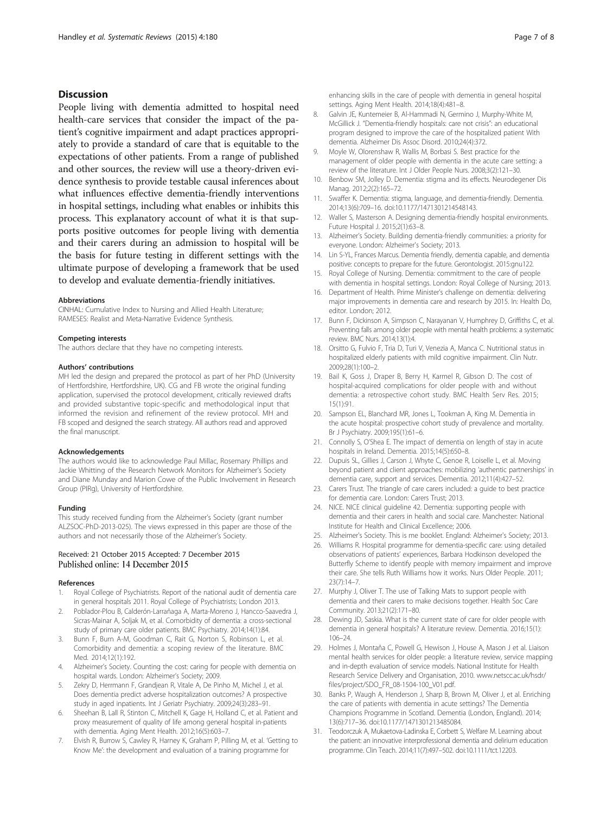### <span id="page-6-0"></span>**Discussion**

People living with dementia admitted to hospital need health-care services that consider the impact of the patient's cognitive impairment and adapt practices appropriately to provide a standard of care that is equitable to the expectations of other patients. From a range of published and other sources, the review will use a theory-driven evidence synthesis to provide testable causal inferences about what influences effective dementia-friendly interventions in hospital settings, including what enables or inhibits this process. This explanatory account of what it is that supports positive outcomes for people living with dementia and their carers during an admission to hospital will be the basis for future testing in different settings with the ultimate purpose of developing a framework that be used to develop and evaluate dementia-friendly initiatives.

#### Abbreviations

CINHAL: Cumulative Index to Nursing and Allied Health Literature; RAMESES: Realist and Meta-Narrative Evidence Synthesis.

#### Competing interests

The authors declare that they have no competing interests.

#### Authors' contributions

MH led the design and prepared the protocol as part of her PhD (University of Hertfordshire, Hertfordshire, UK). CG and FB wrote the original funding application, supervised the protocol development, critically reviewed drafts and provided substantive topic-specific and methodological input that informed the revision and refinement of the review protocol. MH and FB scoped and designed the search strategy. All authors read and approved the final manuscript.

#### Acknowledgements

The authors would like to acknowledge Paul Millac, Rosemary Phillips and Jackie Whitting of the Research Network Monitors for Alzheimer's Society and Diane Munday and Marion Cowe of the Public Involvement in Research Group (PIRg), University of Hertfordshire.

#### Funding

This study received funding from the Alzheimer's Society (grant number ALZSOC-PhD-2013-025). The views expressed in this paper are those of the authors and not necessarily those of the Alzheimer's Society.

#### Received: 21 October 2015 Accepted: 7 December 2015 Published online: 14 December 2015

#### References

- 1. Royal College of Psychiatrists. Report of the national audit of dementia care in general hospitals 2011. Royal College of Psychiatrists; London 2013.
- 2. Poblador-Plou B, Calderón-Larrañaga A, Marta-Moreno J, Hancco-Saavedra J, Sicras-Mainar A, Soljak M, et al. Comorbidity of dementia: a cross-sectional study of primary care older patients. BMC Psychiatry. 2014;14(1):84.
- 3. Bunn F, Burn A-M, Goodman C, Rait G, Norton S, Robinson L, et al. Comorbidity and dementia: a scoping review of the literature. BMC Med. 2014;12(1):192.
- Alzheimer's Society. Counting the cost: caring for people with dementia on hospital wards. London: Alzheimer's Society; 2009.
- 5. Zekry D, Herrmann F, Grandjean R, Vitale A, De Pinho M, Michel J, et al. Does dementia predict adverse hospitalization outcomes? A prospective study in aged inpatients. Int J Geriatr Psychiatry. 2009;24(3):283–91.
- Sheehan B, Lall R, Stinton C, Mitchell K, Gage H, Holland C, et al. Patient and proxy measurement of quality of life among general hospital in-patients with dementia. Aging Ment Health. 2012;16(5):603–7.
- 7. Elvish R, Burrow S, Cawley R, Harney K, Graham P, Pilling M, et al. 'Getting to Know Me': the development and evaluation of a training programme for

enhancing skills in the care of people with dementia in general hospital settings. Aging Ment Health. 2014;18(4):481–8.

- 8. Galvin JE, Kuntemeier B, Al-Hammadi N, Germino J, Murphy-White M, McGillick J. "Dementia-friendly hospitals: care not crisis": an educational program designed to improve the care of the hospitalized patient With dementia. Alzheimer Dis Assoc Disord. 2010;24(4):372.
- 9. Moyle W, Olorenshaw R, Wallis M, Borbasi S. Best practice for the management of older people with dementia in the acute care setting: a review of the literature. Int J Older People Nurs. 2008;3(2):121–30.
- 10. Benbow SM, Jolley D. Dementia: stigma and its effects. Neurodegener Dis Manag. 2012;2(2):165–72.
- 11. Swaffer K. Dementia: stigma, language, and dementia-friendly. Dementia. 2014;13(6):709–16. doi:[10.1177/1471301214548143.](http://dx.doi.org/10.1177/1471301214548143)
- 12. Waller S, Masterson A. Designing dementia-friendly hospital environments. Future Hospital J. 2015;2(1):63–8.
- 13. Alzheimer's Society. Building dementia-friendly communities: a priority for everyone. London: Alzheimer's Society; 2013.
- 14. Lin S-YL, Frances Marcus. Dementia friendly, dementia capable, and dementia positive: concepts to prepare for the future. Gerontologist. 2015:gnu122.
- 15. Royal College of Nursing. Dementia: commitment to the care of people with dementia in hospital settings. London: Royal College of Nursing; 2013.
- 16. Department of Health. Prime Minister's challenge on dementia: delivering major improvements in dementia care and research by 2015. In: Health Do, editor. London; 2012.
- 17. Bunn F, Dickinson A, Simpson C, Narayanan V, Humphrey D, Griffiths C, et al. Preventing falls among older people with mental health problems: a systematic review. BMC Nurs. 2014;13(1):4.
- 18. Orsitto G, Fulvio F, Tria D, Turi V, Venezia A, Manca C. Nutritional status in hospitalized elderly patients with mild cognitive impairment. Clin Nutr. 2009;28(1):100–2.
- 19. Bail K, Goss J, Draper B, Berry H, Karmel R, Gibson D. The cost of hospital-acquired complications for older people with and without dementia: a retrospective cohort study. BMC Health Serv Res. 2015; 15(1):91.
- 20. Sampson EL, Blanchard MR, Jones L, Tookman A, King M. Dementia in the acute hospital: prospective cohort study of prevalence and mortality. Br J Psychiatry. 2009;195(1):61–6.
- 21. Connolly S, O'Shea E. The impact of dementia on length of stay in acute hospitals in Ireland. Dementia. 2015:14(5):650-8.
- 22. Dupuis SL, Gillies J, Carson J, Whyte C, Genoe R, Loiselle L, et al. Moving beyond patient and client approaches: mobilizing 'authentic partnerships' in dementia care, support and services. Dementia. 2012;11(4):427–52.
- 23. Carers Trust. The triangle of care carers included: a guide to best practice for dementia care. London: Carers Trust; 2013.
- 24. NICE. NICE clinical guideline 42. Dementia: supporting people with dementia and their carers in health and social care. Manchester: National Institute for Health and Clinical Excellence; 2006.
- 25. Alzheimer's Society. This is me booklet. England: Alzheimer's Society; 2013. 26. Williams R. Hospital programme for dementia-specific care: using detailed observations of patients' experiences, Barbara Hodkinson developed the Butterfly Scheme to identify people with memory impairment and improve their care. She tells Ruth Williams how it works. Nurs Older People. 2011; 23(7):14–7.
- 27. Murphy J, Oliver T. The use of Talking Mats to support people with dementia and their carers to make decisions together. Health Soc Care Community. 2013;21(2):171–80.
- 28. Dewing JD, Saskia. What is the current state of care for older people with dementia in general hospitals? A literature review. Dementia. 2016;15(1): 106–24.
- 29. Holmes J, Montaňa C, Powell G, Hewison J, House A, Mason J et al. Liaison mental health services for older people: a literature review, service mapping and in-depth evaluation of service models. National Institute for Health Research Service Delivery and Organisation, 2010. [www.netscc.ac.uk/hsdr/](http://www.netscc.ac.uk/hsdr/files/project/SDO_FR_08-1504-100_V01.pdf) [files/project/SDO\\_FR\\_08-1504-100\\_V01.pdf](http://www.netscc.ac.uk/hsdr/files/project/SDO_FR_08-1504-100_V01.pdf).
- 30. Banks P, Waugh A, Henderson J, Sharp B, Brown M, Oliver J, et al. Enriching the care of patients with dementia in acute settings? The Dementia Champions Programme in Scotland. Dementia (London, England). 2014; 13(6):717–36. doi[:10.1177/1471301213485084.](http://dx.doi.org/10.1177/1471301213485084)
- 31. Teodorczuk A, Mukaetova-Ladinska E, Corbett S, Welfare M. Learning about the patient: an innovative interprofessional dementia and delirium education programme. Clin Teach. 2014;11(7):497–502. doi:[10.1111/tct.12203](http://dx.doi.org/10.1111/tct.12203).